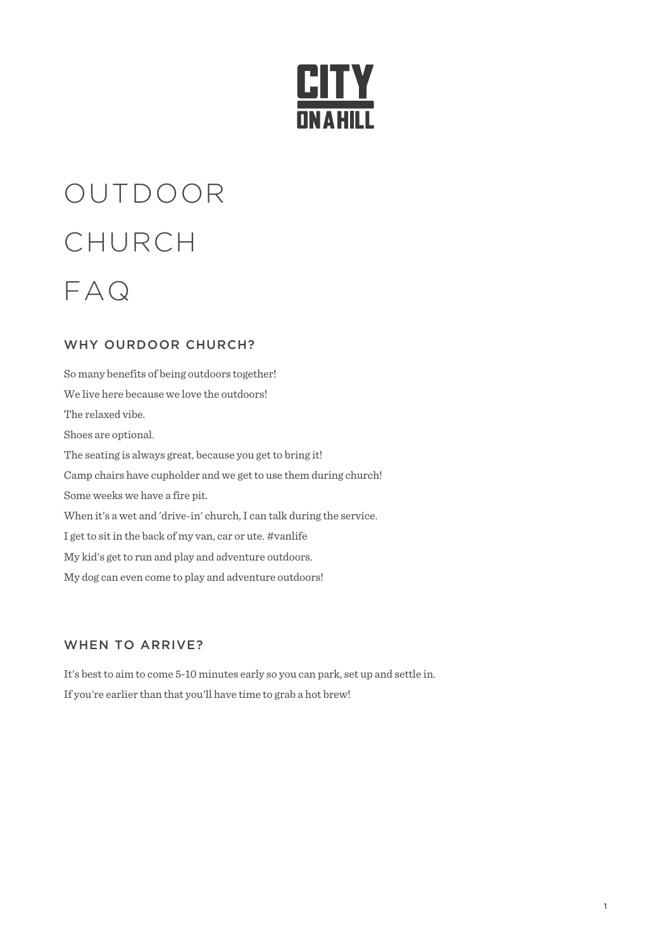

# OUTDOOR CHURCH FAQ

# WHY OURDOOR CHURCH?

So many benefits of being outdoors together! We live here because we love the outdoors! The relaxed vibe. Shoes are optional. The seating is always great, because you get to bring it! Camp chairs have cupholder and we get to use them during church! Some weeks we have a fire pit. When it's a wet and 'drive-in' church, I can talk during the service. I get to sit in the back of my van, car or ute. #vanlife My kid's get to run and play and adventure outdoors. My dog can even come to play and adventure outdoors!

## WHEN TO ARRIVE?

It's best to aim to come 5-10 minutes early so you can park, set up and settle in. If you're earlier than that you'll have time to grab a hot brew!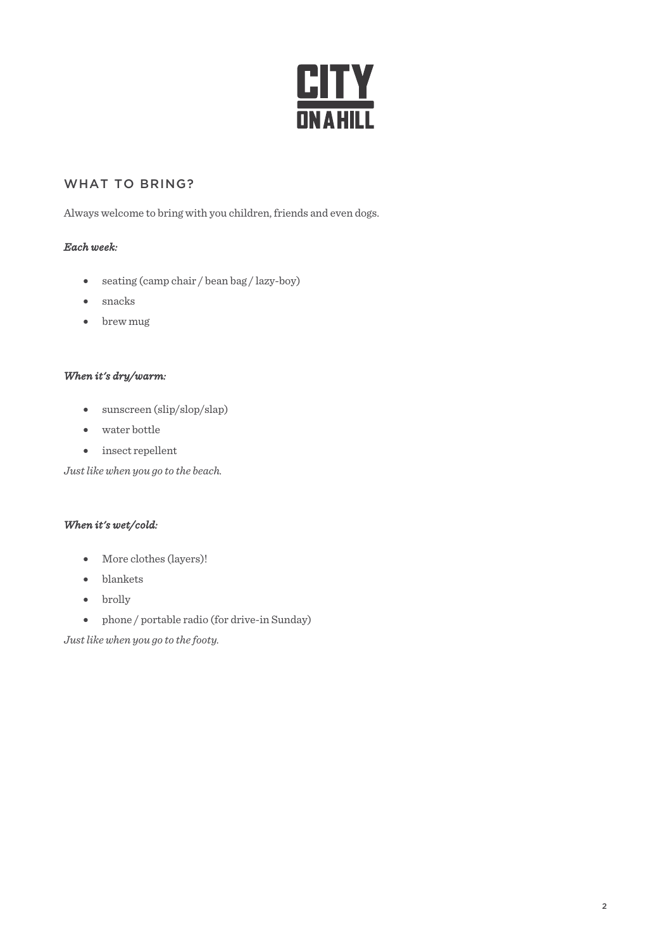

## WHAT TO BRING?

Always welcome to bring with you children, friends and even dogs.

#### *Each week:*

- seating (camp chair / bean bag / lazy-boy)
- snacks
- brew mug

#### *When it's dry/warm:*

- sunscreen (slip/slop/slap)
- water bottle
- insect repellent

*Just like when you go to the beach.*

#### *When it's wet/cold:*

- More clothes (layers)!
- blankets
- brolly
- phone / portable radio (for drive-in Sunday)

*Just like when you go to the footy.*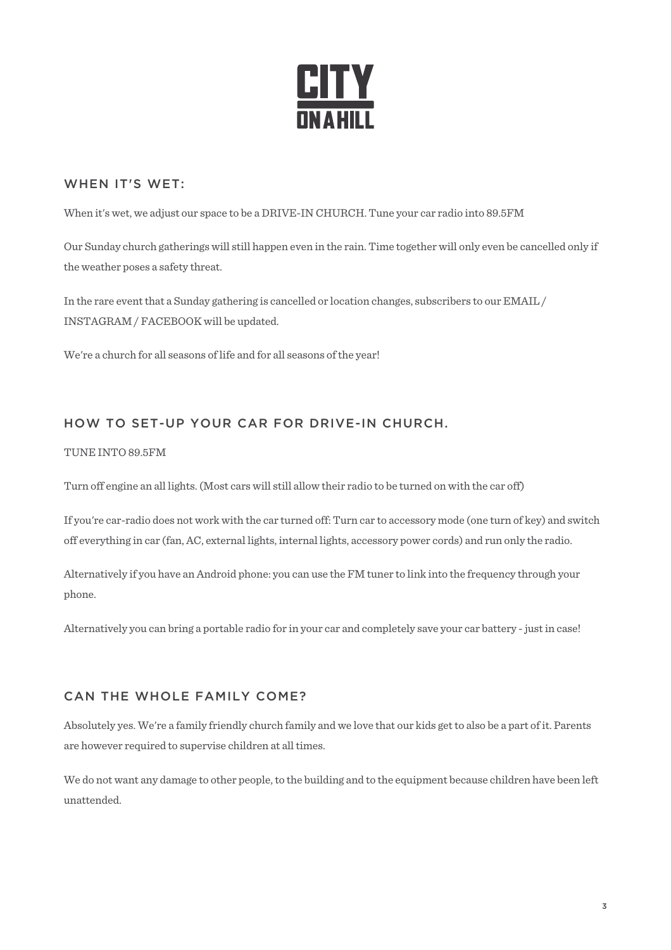

## WHEN IT'S WET:

When it's wet, we adjust our space to be a DRIVE-IN CHURCH. Tune your car radio into 89.5FM

Our Sunday church gatherings will still happen even in the rain. Time together will only even be cancelled only if the weather poses a safety threat.

In the rare event that a Sunday gathering is cancelled or location changes, subscribers to our EMAIL / INSTAGRAM / FACEBOOK will be updated.

We're a church for all seasons of life and for all seasons of the year!

## HOW TO SET-UP YOUR CAR FOR DRIVE-IN CHURCH.

#### TUNE INTO 89.5FM

Turn off engine an all lights. (Most cars will still allow their radio to be turned on with the car off)

If you're car-radio does not work with the car turned off: Turn car to accessory mode (one turn of key) and switch off everything in car (fan, AC, external lights, internal lights, accessory power cords) and run only the radio.

Alternatively if you have an Android phone: you can use the FM tuner to link into the frequency through your phone.

Alternatively you can bring a portable radio for in your car and completely save your car battery -just in case!

### CAN THE WHOLE FAMILY COME?

Absolutely yes. We're a family friendly church family and we love that our kids get to also be a part of it. Parents are however required to supervise children at all times.

We do not want any damage to other people, to the building and to the equipment because children have been left unattended.